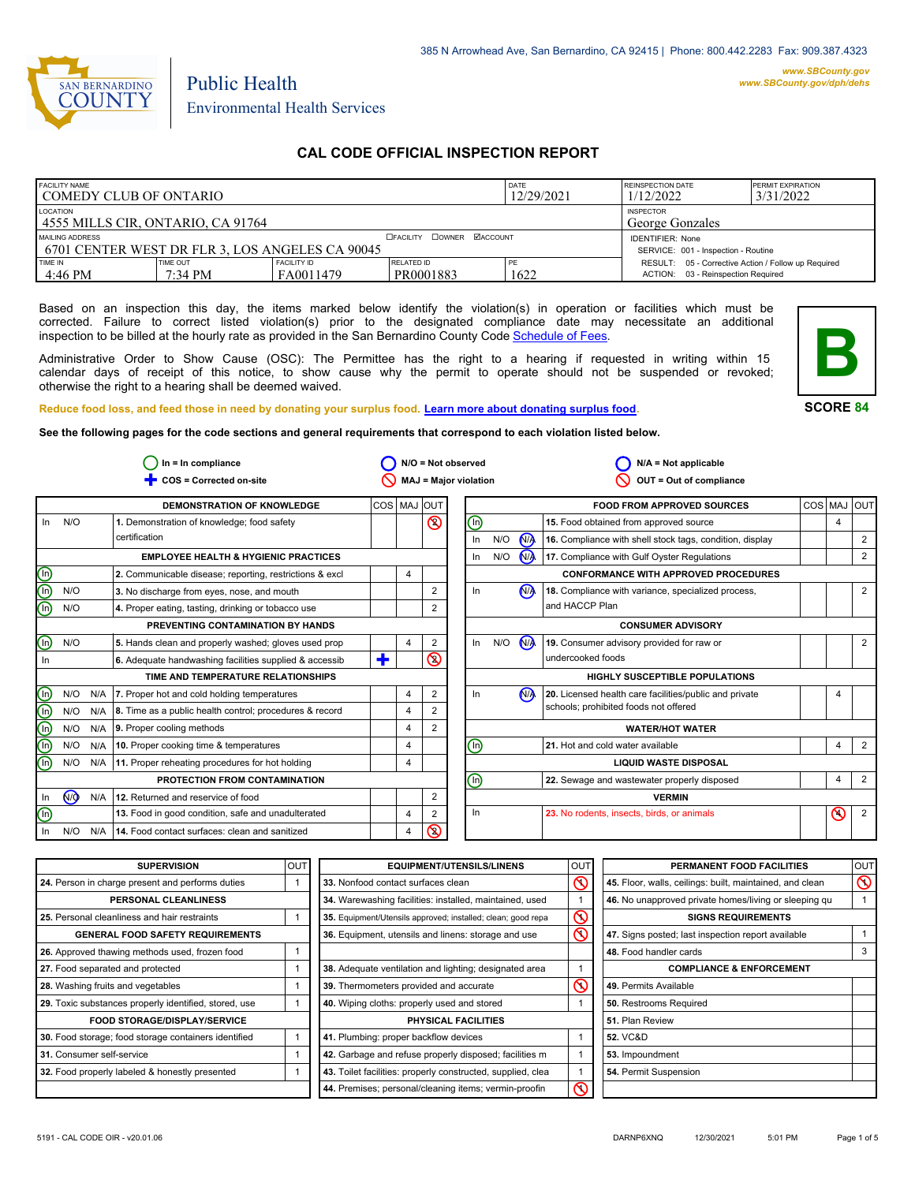

# Environmental Health Services

Public Health

# **CAL CODE OFFICIAL INSPECTION REPORT**

| <b>FACILITY NAME</b><br>COMEDY CLUB OF ONTARIO                                       |                     |                                 | <b>DATE</b><br>12/29/2021        | REINSPECTION DATE<br>1/12/2022 | <b>PERMIT EXPIRATION</b><br>3/31/2022                                                     |  |
|--------------------------------------------------------------------------------------|---------------------|---------------------------------|----------------------------------|--------------------------------|-------------------------------------------------------------------------------------------|--|
| LOCATION<br><b>INSPECTOR</b><br>4555 MILLS CIR, ONTARIO, CA 91764<br>George Gonzales |                     |                                 |                                  |                                |                                                                                           |  |
| MAILING ADDRESS<br>1 6701 CENTER WEST DR FLR 3. LOS ANGELES CA 90045                 |                     |                                 | <b>OFACILITY COWNER MACCOUNT</b> |                                | <b>IDENTIFIER: None</b><br>SERVICE: 001 - Inspection - Routine                            |  |
| <b>TIME IN</b><br>4:46 PM                                                            | TIME OUT<br>7:34 PM | <b>FACILITY ID</b><br>FA0011479 | <b>RELATED ID</b><br>PR0001883   | PE<br>1622                     | RESULT: 05 - Corrective Action / Follow up Required<br>ACTION: 03 - Reinspection Required |  |

Based on an inspection this day, the items marked below identify the violation(s) in operation or facilities which must be corrected. Failure to correct listed violation(s) prior to the designated compliance date may necessitate an additional inspection to be billed at the hourly rate as provided in the San Bernardino County Co[de Schedule of Fees.](https://codelibrary.amlegal.com/codes/sanbernardino/latest/sanberncty_ca/0-0-0-122474#JD_16.0213B)

Administrative Order to Show Cause (OSC): The Permittee has the right to a hearing if requested in writing within 15 calendar days of receipt of this notice, to show cause why the permit to operate should not be suspended or revoked; otherwise the right to a hearing shall be deemed waived.



**SCORE 84**

**Reduce food loss, and feed those in need by donating your surplus f[ood. Learn more about donating surplus food.](https://wp.sbcounty.gov/dph/programs/ehs/charitable-food-service/)**

**See the following pages for the code sections and general requirements that correspond to each violation listed below.**

|                         |                |     | $In = In$ compliance                                    |         |   |                | $N/O = Not observed$         |     |                | $N/A = Not applicable$                                   |             |                |
|-------------------------|----------------|-----|---------------------------------------------------------|---------|---|----------------|------------------------------|-----|----------------|----------------------------------------------------------|-------------|----------------|
|                         |                |     | COS = Corrected on-site                                 |         |   |                | <b>MAJ = Major violation</b> |     |                | OUT = Out of compliance                                  |             |                |
|                         |                |     | <b>DEMONSTRATION OF KNOWLEDGE</b>                       | COS MAJ |   | <b>IOUT</b>    |                              |     |                | <b>FOOD FROM APPROVED SOURCES</b>                        | COS MAJ OUT |                |
| In                      | N/O            |     | 1. Demonstration of knowledge; food safety              |         |   | $\circledcirc$ | ⓪                            |     |                | 15. Food obtained from approved source                   | 4           |                |
|                         |                |     | certification                                           |         |   |                | In                           | N/O | N <sub>A</sub> | 16. Compliance with shell stock tags, condition, display |             | $\overline{2}$ |
|                         |                |     | <b>EMPLOYEE HEALTH &amp; HYGIENIC PRACTICES</b>         |         |   |                | In                           | N/O | $\mathbf{M}$   | 17. Compliance with Gulf Oyster Regulations              |             | 2              |
| eca                     |                |     | 2. Communicable disease; reporting, restrictions & excl |         | 4 |                |                              |     |                | <b>CONFORMANCE WITH APPROVED PROCEDURES</b>              |             |                |
|                         | N/O            |     | 3. No discharge from eyes, nose, and mouth              |         |   | $\overline{2}$ | In                           |     | N <sub>A</sub> | 18. Compliance with variance, specialized process,       |             | $\overline{2}$ |
|                         | N/O            |     | 4. Proper eating, tasting, drinking or tobacco use      |         |   | 2              |                              |     |                | and HACCP Plan                                           |             |                |
|                         |                |     | PREVENTING CONTAMINATION BY HANDS                       |         |   |                |                              |     |                | <b>CONSUMER ADVISORY</b>                                 |             |                |
| $\circledcirc$          | N/O            |     | 5. Hands clean and properly washed; gloves used prop    |         | 4 | $\overline{2}$ | In                           | N/O | N <sub>A</sub> | 19. Consumer advisory provided for raw or                |             | 2              |
| In                      |                |     | 6. Adequate handwashing facilities supplied & accessib  | ٠       |   | ଷ              |                              |     |                | undercooked foods                                        |             |                |
|                         |                |     | TIME AND TEMPERATURE RELATIONSHIPS                      |         |   |                |                              |     |                | <b>HIGHLY SUSCEPTIBLE POPULATIONS</b>                    |             |                |
| $\mathbb{\Theta}$       | N/O            |     | N/A   7. Proper hot and cold holding temperatures       |         | 4 | 2              | In                           |     | N <sub>A</sub> | 20. Licensed health care facilities/public and private   |             |                |
| $\overline{\mathbb{O}}$ | N/O            | N/A | 8. Time as a public health control; procedures & record |         | 4 |                |                              |     |                | schools; prohibited foods not offered                    |             |                |
| Θ                       | N/O            | N/A | 9. Proper cooling methods                               |         | 4 | 2              |                              |     |                | <b>WATER/HOT WATER</b>                                   |             |                |
| $\overline{\mathbb{O}}$ | N/O            | N/A | 10. Proper cooking time & temperatures                  |         | 4 |                | ⓪                            |     |                | 21. Hot and cold water available                         | 4           | $\overline{2}$ |
| ⋒                       | N/O            | N/A | 11. Proper reheating procedures for hot holding         |         | 4 |                |                              |     |                | <b>LIQUID WASTE DISPOSAL</b>                             |             |                |
|                         |                |     | PROTECTION FROM CONTAMINATION                           |         |   |                | ℗                            |     |                | 22. Sewage and wastewater properly disposed              | 4           | $\overline{2}$ |
| In                      | N <sub>O</sub> | N/A | 12. Returned and reservice of food                      |         |   | 2              |                              |     |                | <b>VERMIN</b>                                            |             |                |
| $\circledcirc$          |                |     | 13. Food in good condition, safe and unadulterated      |         | 4 |                | In                           |     |                | 23. No rodents, insects, birds, or animals               | $\infty$    | $\overline{2}$ |
| In                      | N/O            | N/A | 14. Food contact surfaces: clean and sanitized          |         | 4 | ৎ              |                              |     |                |                                                          |             |                |

| <b>SUPERVISION</b>                                    | <b>OUT</b> | <b>EQUIPMENT/UTENSILS/LINENS</b>                             | OUT                     | PERMANENT FOOD FACILITIES                                | <b>OUT</b> |
|-------------------------------------------------------|------------|--------------------------------------------------------------|-------------------------|----------------------------------------------------------|------------|
| 24. Person in charge present and performs duties      |            | 33. Nonfood contact surfaces clean                           | $\infty$                | 45. Floor, walls, ceilings: built, maintained, and clean | $\infty$   |
| PERSONAL CLEANLINESS                                  |            | 34. Warewashing facilities: installed, maintained, used      |                         | 46. No unapproved private homes/living or sleeping gu    |            |
| 25. Personal cleanliness and hair restraints          |            | 35. Equipment/Utensils approved; installed; clean; good repa | $\mathcal{O}$           | <b>SIGNS REQUIREMENTS</b>                                |            |
| <b>GENERAL FOOD SAFETY REQUIREMENTS</b>               |            | 36. Equipment, utensils and linens: storage and use          | $\overline{\mathbb{C}}$ | 47. Signs posted; last inspection report available       |            |
| 26. Approved thawing methods used, frozen food        |            |                                                              |                         | 48. Food handler cards                                   | 3          |
| 27. Food separated and protected                      |            | 38. Adequate ventilation and lighting; designated area       |                         | <b>COMPLIANCE &amp; ENFORCEMENT</b>                      |            |
| 28. Washing fruits and vegetables                     |            | 39. Thermometers provided and accurate                       | $\infty$                | 49. Permits Available                                    |            |
| 29. Toxic substances properly identified, stored, use |            | 40. Wiping cloths: properly used and stored                  |                         | 50. Restrooms Required                                   |            |
| <b>FOOD STORAGE/DISPLAY/SERVICE</b>                   |            | <b>PHYSICAL FACILITIES</b>                                   |                         | 51. Plan Review                                          |            |
| 30. Food storage; food storage containers identified  |            | 41. Plumbing: proper backflow devices                        |                         | <b>52. VC&amp;D</b>                                      |            |
| 31. Consumer self-service                             |            | 42. Garbage and refuse properly disposed; facilities m       |                         | 53. Impoundment                                          |            |
| 32. Food properly labeled & honestly presented        |            | 43. Toilet facilities: properly constructed, supplied, clea  |                         | 54. Permit Suspension                                    |            |
|                                                       |            | 44. Premises; personal/cleaning items; vermin-proofin        | Ƙ                       |                                                          |            |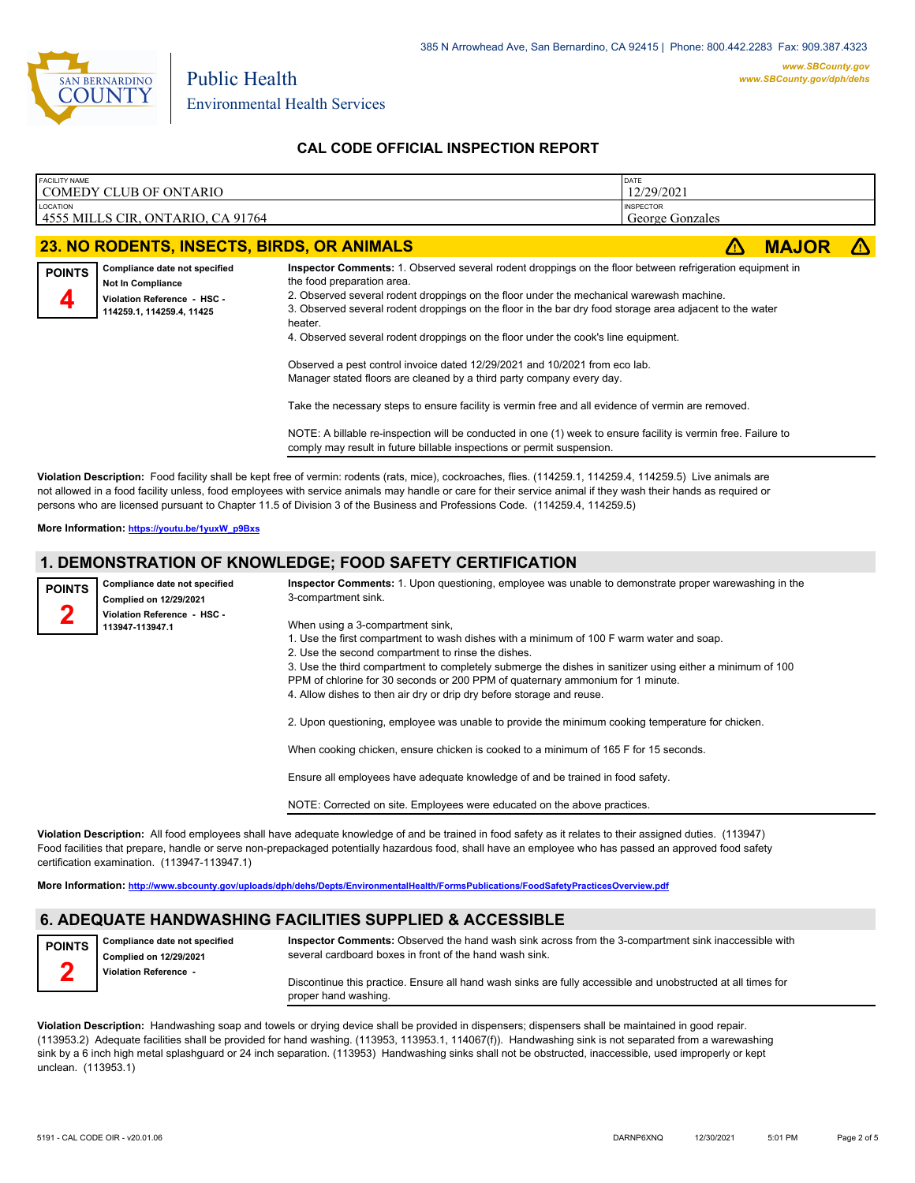

Environmental Health Services

Public Health

# **CAL CODE OFFICIAL INSPECTION REPORT**

| <b>FACILITY NAME</b> | COMEDY CLUB OF ONTARIO                                    |                                                                                                                                                                                                                 | DATE<br>12/29/2021                  |              |    |
|----------------------|-----------------------------------------------------------|-----------------------------------------------------------------------------------------------------------------------------------------------------------------------------------------------------------------|-------------------------------------|--------------|----|
|                      |                                                           |                                                                                                                                                                                                                 |                                     |              |    |
| LOCATION             | 4555 MILLS CIR, ONTARIO, CA 91764                         |                                                                                                                                                                                                                 | <b>INSPECTOR</b><br>George Gonzales |              |    |
|                      | 23. NO RODENTS, INSECTS, BIRDS, OR ANIMALS                |                                                                                                                                                                                                                 |                                     | <b>MAJOR</b> | Z۱ |
| <b>POINTS</b>        | Compliance date not specified<br><b>Not In Compliance</b> | Inspector Comments: 1. Observed several rodent droppings on the floor between refrigeration equipment in<br>the food preparation area.                                                                          |                                     |              |    |
|                      | Violation Reference - HSC -<br>114259.1, 114259.4, 11425  | 2. Observed several rodent droppings on the floor under the mechanical warewash machine.<br>3. Observed several rodent droppings on the floor in the bar dry food storage area adjacent to the water<br>heater. |                                     |              |    |
|                      |                                                           | 4. Observed several rodent droppings on the floor under the cook's line equipment.                                                                                                                              |                                     |              |    |
|                      |                                                           | Observed a pest control invoice dated 12/29/2021 and 10/2021 from eco lab.                                                                                                                                      |                                     |              |    |
|                      |                                                           | Manager stated floors are cleaned by a third party company every day.                                                                                                                                           |                                     |              |    |
|                      |                                                           | Take the necessary steps to ensure facility is vermin free and all evidence of vermin are removed.                                                                                                              |                                     |              |    |
|                      |                                                           | NOTE: A billable re-inspection will be conducted in one (1) week to ensure facility is vermin free. Failure to<br>comply may result in future billable inspections or permit suspension.                        |                                     |              |    |

**Violation Description:** Food facility shall be kept free of vermin: rodents (rats, mice), cockroaches, flies. (114259.1, 114259.4, 114259.5) Live animals are not allowed in a food facility unless, food employees with service animals may handle or care for their service animal if they wash their hands as required or persons who are licensed pursuant to Chapter 11.5 of Division 3 of the Business and Professions Code. (114259.4, 114259.5)

**More Information: [https://youtu.be/1yuxW\\_p9Bxs](https://youtu.be/1yuxW_p9Bxs)**

# **1. DEMONSTRATION OF KNOWLEDGE; FOOD SAFETY CERTIFICATION**

| <b>POINTS</b> | Compliance date not specified<br>Complied on 12/29/2021 | Inspector Comments: 1. Upon questioning, employee was unable to demonstrate proper warewashing in the<br>3-compartment sink.                                                                                                                                                                                                                                                                                                    |
|---------------|---------------------------------------------------------|---------------------------------------------------------------------------------------------------------------------------------------------------------------------------------------------------------------------------------------------------------------------------------------------------------------------------------------------------------------------------------------------------------------------------------|
|               | Violation Reference - HSC -<br>113947-113947.1          | When using a 3-compartment sink,<br>1. Use the first compartment to wash dishes with a minimum of 100 F warm water and soap.<br>2. Use the second compartment to rinse the dishes.<br>3. Use the third compartment to completely submerge the dishes in sanitizer using either a minimum of 100<br>PPM of chlorine for 30 seconds or 200 PPM of quaternary ammonium for 1 minute.                                               |
|               |                                                         | 4. Allow dishes to then air dry or drip dry before storage and reuse.<br>2. Upon questioning, employee was unable to provide the minimum cooking temperature for chicken.<br>When cooking chicken, ensure chicken is cooked to a minimum of 165 F for 15 seconds.<br>Ensure all employees have adequate knowledge of and be trained in food safety.<br>NOTE: Corrected on site. Employees were educated on the above practices. |
|               |                                                         |                                                                                                                                                                                                                                                                                                                                                                                                                                 |

**Violation Description:** All food employees shall have adequate knowledge of and be trained in food safety as it relates to their assigned duties. (113947) Food facilities that prepare, handle or serve non-prepackaged potentially hazardous food, shall have an employee who has passed an approved food safety certification examination. (113947-113947.1)

**More Information: <http://www.sbcounty.gov/uploads/dph/dehs/Depts/EnvironmentalHealth/FormsPublications/FoodSafetyPracticesOverview.pdf>**

# **6. ADEQUATE HANDWASHING FACILITIES SUPPLIED & ACCESSIBLE**

**Compliance date not specified POINTS**

**Inspector Comments:** Observed the hand wash sink across from the 3-compartment sink inaccessible with

**Complied on 12/29/2021 Violation Reference - 2**

several cardboard boxes in front of the hand wash sink.

Discontinue this practice. Ensure all hand wash sinks are fully accessible and unobstructed at all times for proper hand washing.

**Violation Description:** Handwashing soap and towels or drying device shall be provided in dispensers; dispensers shall be maintained in good repair. (113953.2) Adequate facilities shall be provided for hand washing. (113953, 113953.1, 114067(f)). Handwashing sink is not separated from a warewashing sink by a 6 inch high metal splashguard or 24 inch separation. (113953) Handwashing sinks shall not be obstructed, inaccessible, used improperly or kept unclean. (113953.1)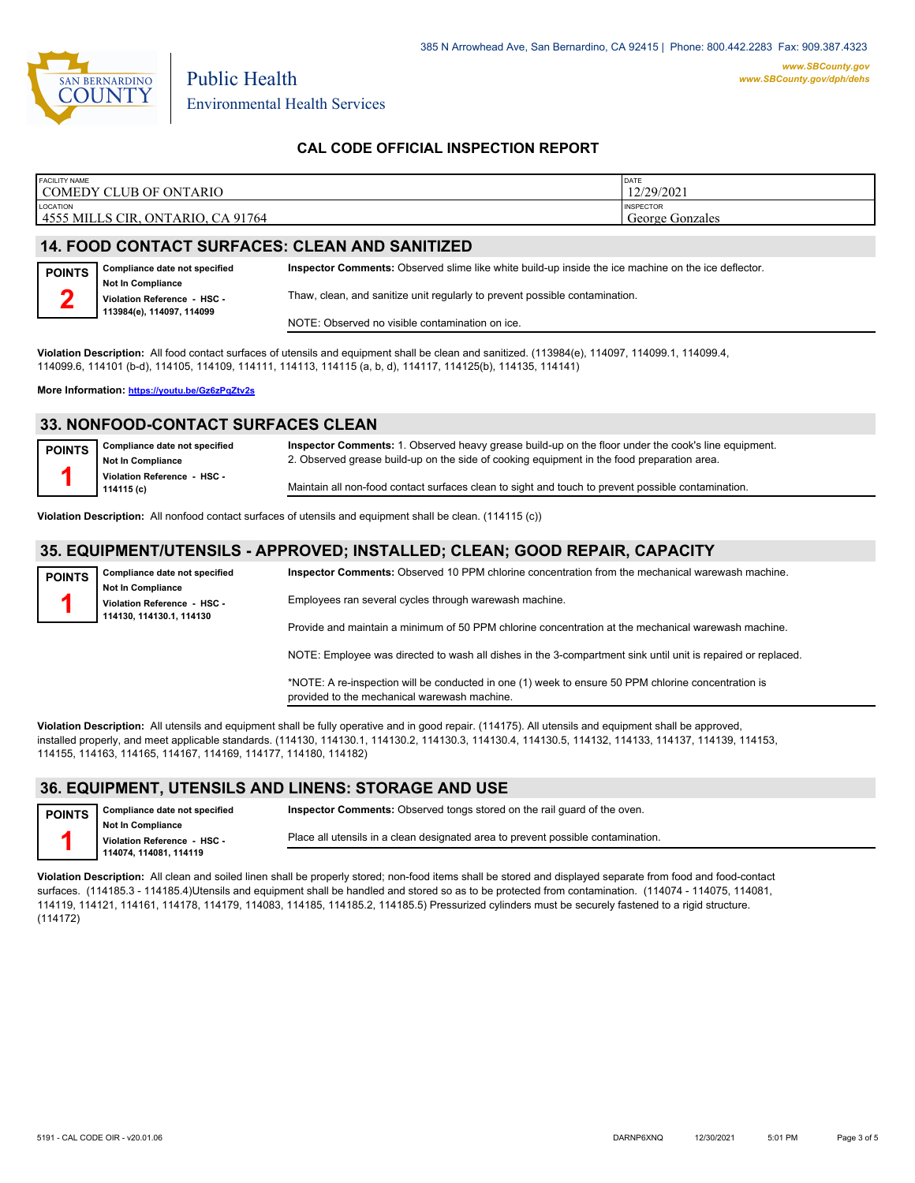

Environmental Health Services

# **CAL CODE OFFICIAL INSPECTION REPORT**

| <b>FACILITY NAME</b>                                   | <b>DATE</b>                         |
|--------------------------------------------------------|-------------------------------------|
| COMEDY CLUB OF ONTARIO                                 | 12/29/2021                          |
| LOCATION<br>14555 MILLS CIR.<br>CA 91764<br>, ONTARIO, | <b>INSPECTOR</b><br>George Gonzales |

## **14. FOOD CONTACT SURFACES: CLEAN AND SANITIZED**

Public Health

| <b>POINTS</b> | Compliance date not specified                                                        | Inspector Comments: Observed slime like white build-up inside the ice machine on the ice deflector. |
|---------------|--------------------------------------------------------------------------------------|-----------------------------------------------------------------------------------------------------|
|               | <b>Not In Compliance</b><br>Violation Reference - HSC -<br>113984(e), 114097, 114099 | Thaw, clean, and sanitize unit regularly to prevent possible contamination.                         |
|               |                                                                                      | NOTE: Observed no visible contamination on ice.                                                     |

**Violation Description:** All food contact surfaces of utensils and equipment shall be clean and sanitized. (113984(e), 114097, 114099.1, 114099.4, 114099.6, 114101 (b-d), 114105, 114109, 114111, 114113, 114115 (a, b, d), 114117, 114125(b), 114135, 114141)

**More Information: <https://youtu.be/Gz6zPqZtv2s>**

#### **33. NONFOOD-CONTACT SURFACES CLEAN**

| <b>POINTS</b> | Compliance date not specified<br>Not In Compliance | Inspector Comments: 1. Observed heavy grease build-up on the floor under the cook's line equipment.<br>2. Observed grease build-up on the side of cooking equipment in the food preparation area. |
|---------------|----------------------------------------------------|---------------------------------------------------------------------------------------------------------------------------------------------------------------------------------------------------|
|               | Violation Reference - HSC -<br>114115 (c)          | Maintain all non-food contact surfaces clean to sight and touch to prevent possible contamination.                                                                                                |

**Violation Description:** All nonfood contact surfaces of utensils and equipment shall be clean. (114115 (c))

## **35. EQUIPMENT/UTENSILS - APPROVED; INSTALLED; CLEAN; GOOD REPAIR, CAPACITY**

**Compliance date not specified Not In Compliance Violation Reference - HSC - 114130, 114130.1, 114130**

**POINTS 1**

**Inspector Comments:** Observed 10 PPM chlorine concentration from the mechanical warewash machine.

Employees ran several cycles through warewash machine.

Provide and maintain a minimum of 50 PPM chlorine concentration at the mechanical warewash machine.

NOTE: Employee was directed to wash all dishes in the 3-compartment sink until unit is repaired or replaced.

\*NOTE: A re-inspection will be conducted in one (1) week to ensure 50 PPM chlorine concentration is provided to the mechanical warewash machine.

**Violation Description:** All utensils and equipment shall be fully operative and in good repair. (114175). All utensils and equipment shall be approved, installed properly, and meet applicable standards. (114130, 114130.1, 114130.2, 114130.3, 114130.4, 114130.5, 114132, 114133, 114137, 114139, 114153, 114155, 114163, 114165, 114167, 114169, 114177, 114180, 114182)

#### **36. EQUIPMENT, UTENSILS AND LINENS: STORAGE AND USE**

| <b>POINTS</b> | <b>Compliance date not specified</b>                  | <b>Inspector Comments:</b> Observed tongs stored on the rail quard of the oven.  |
|---------------|-------------------------------------------------------|----------------------------------------------------------------------------------|
|               | Not In Compliance                                     | Place all utensils in a clean designated area to prevent possible contamination. |
|               | Violation Reference - HSC -<br>114074, 114081, 114119 |                                                                                  |

**Violation Description:** All clean and soiled linen shall be properly stored; non-food items shall be stored and displayed separate from food and food-contact surfaces. (114185.3 - 114185.4)Utensils and equipment shall be handled and stored so as to be protected from contamination. (114074 - 114075, 114081, 114119, 114121, 114161, 114178, 114179, 114083, 114185, 114185.2, 114185.5) Pressurized cylinders must be securely fastened to a rigid structure. (114172)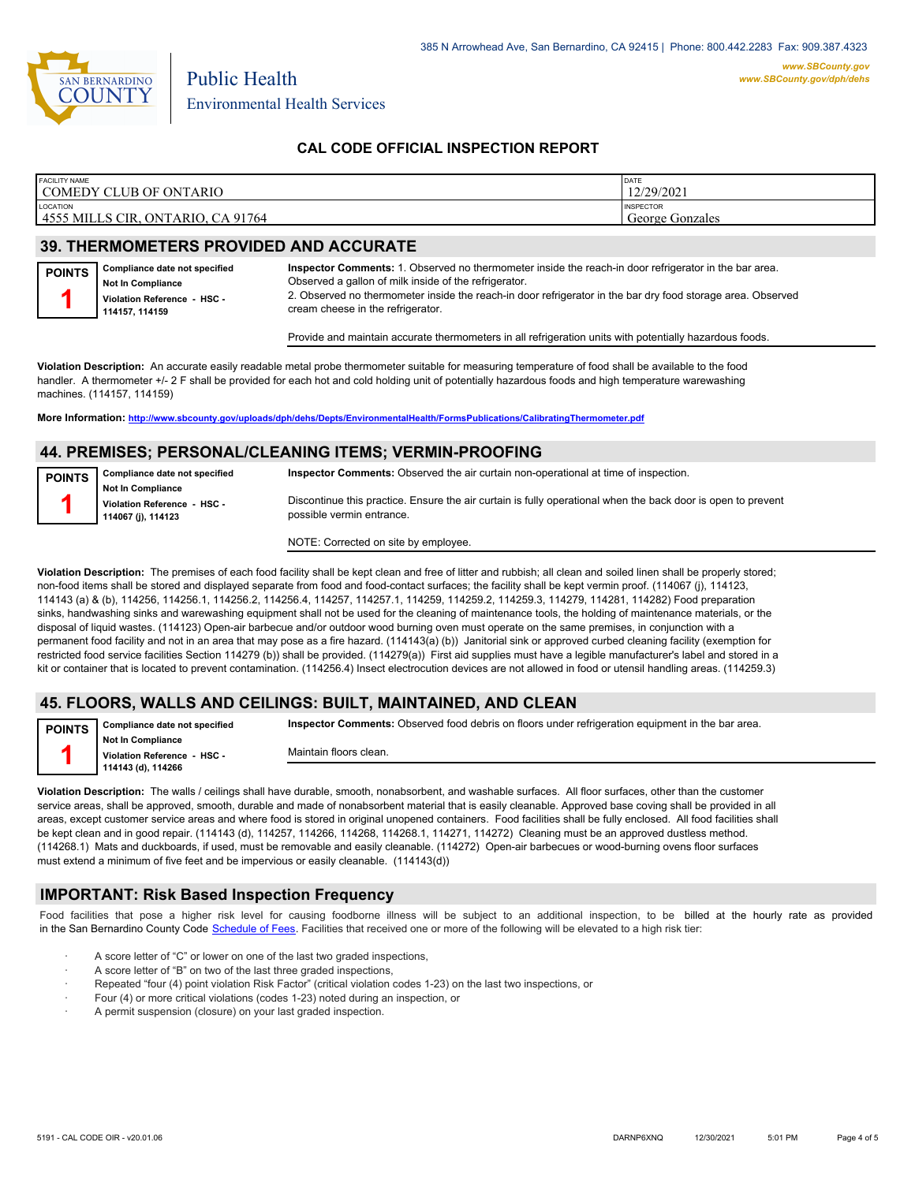

## **CAL CODE OFFICIAL INSPECTION REPORT**

| <b>FACILITY NAME</b>                                       | DATE                                |
|------------------------------------------------------------|-------------------------------------|
| COMEDY CLUB OF ONTARIO                                     | 12/29/2021                          |
| <b>LOCATION</b><br>4555 MILLS CIR.<br>CA 91764<br>ONTARIO. | <b>INSPECTOR</b><br>George Gonzales |

# **39. THERMOMETERS PROVIDED AND ACCURATE**

| <b>POINTS</b> | Compliance date not specified                | Inspector Comments: 1. Observed no thermometer inside the reach-in door refrigerator in the bar area.                                            |
|---------------|----------------------------------------------|--------------------------------------------------------------------------------------------------------------------------------------------------|
|               | <b>Not In Compliance</b>                     | Observed a gallon of milk inside of the refrigerator.                                                                                            |
|               | Violation Reference - HSC -<br>114157.114159 | 2. Observed no thermometer inside the reach-in door refrigerator in the bar dry food storage area. Observed<br>cream cheese in the refrigerator. |

Provide and maintain accurate thermometers in all refrigeration units with potentially hazardous foods.

**Violation Description:** An accurate easily readable metal probe thermometer suitable for measuring temperature of food shall be available to the food handler. A thermometer +/- 2 F shall be provided for each hot and cold holding unit of potentially hazardous foods and high temperature warewashing machines. (114157, 114159)

**More Information: <http://www.sbcounty.gov/uploads/dph/dehs/Depts/EnvironmentalHealth/FormsPublications/CalibratingThermometer.pdf>**

### **44. PREMISES; PERSONAL/CLEANING ITEMS; VERMIN-PROOFING**

| <b>POINTS</b> | Compliance date not specified                     | <b>Inspector Comments:</b> Observed the air curtain non-operational at time of inspection.                                                |
|---------------|---------------------------------------------------|-------------------------------------------------------------------------------------------------------------------------------------------|
|               | <b>Not In Compliance</b>                          |                                                                                                                                           |
|               | Violation Reference - HSC -<br>114067 (j), 114123 | Discontinue this practice. Ensure the air curtain is fully operational when the back door is open to prevent<br>possible vermin entrance. |
|               |                                                   |                                                                                                                                           |

NOTE: Corrected on site by employee.

**Violation Description:** The premises of each food facility shall be kept clean and free of litter and rubbish; all clean and soiled linen shall be properly stored; non-food items shall be stored and displayed separate from food and food-contact surfaces; the facility shall be kept vermin proof. (114067 (j), 114123, 114143 (a) & (b), 114256, 114256.1, 114256.2, 114256.4, 114257, 114257.1, 114259, 114259.2, 114259.3, 114279, 114281, 114282) Food preparation sinks, handwashing sinks and warewashing equipment shall not be used for the cleaning of maintenance tools, the holding of maintenance materials, or the disposal of liquid wastes. (114123) Open-air barbecue and/or outdoor wood burning oven must operate on the same premises, in conjunction with a permanent food facility and not in an area that may pose as a fire hazard. (114143(a) (b)) Janitorial sink or approved curbed cleaning facility (exemption for restricted food service facilities Section 114279 (b)) shall be provided. (114279(a)) First aid supplies must have a legible manufacturer's label and stored in a kit or container that is located to prevent contamination. (114256.4) Insect electrocution devices are not allowed in food or utensil handling areas. (114259.3)

#### **45. FLOORS, WALLS AND CEILINGS: BUILT, MAINTAINED, AND CLEAN**

**Compliance date not specified Inspector Comments:** Observed food debris on floors under refrigeration equipment in the bar area.

**Not In Compliance Violation Reference - HSC - 114143 (d), 114266**

**POINTS 1**

Maintain floors clean.

**Violation Description:** The walls / ceilings shall have durable, smooth, nonabsorbent, and washable surfaces. All floor surfaces, other than the customer service areas, shall be approved, smooth, durable and made of nonabsorbent material that is easily cleanable. Approved base coving shall be provided in all areas, except customer service areas and where food is stored in original unopened containers. Food facilities shall be fully enclosed. All food facilities shall be kept clean and in good repair. (114143 (d), 114257, 114266, 114268, 114268.1, 114271, 114272) Cleaning must be an approved dustless method. (114268.1) Mats and duckboards, if used, must be removable and easily cleanable. (114272) Open-air barbecues or wood-burning ovens floor surfaces must extend a minimum of five feet and be impervious or easily cleanable. (114143(d))

#### **IMPORTANT: Risk Based Inspection Frequency**

Food facilities that pose a higher risk level for causing foodborne illness will be subject to an additional inspection, to be billed at the hourly rate as provided in the San Bernardino Count[y Code Schedule of Fees. Facilitie](https://codelibrary.amlegal.com/codes/sanbernardino/latest/sanberncty_ca/0-0-0-122474#JD_16.0213B)s that received one or more of the following will be elevated to a high risk tier:

- A score letter of "C" or lower on one of the last two graded inspections,
- A score letter of "B" on two of the last three graded inspections,
- Repeated "four (4) point violation Risk Factor" (critical violation codes 1-23) on the last two inspections, or
- · Four (4) or more critical violations (codes 1-23) noted during an inspection, or
- A permit suspension (closure) on your last graded inspection.

385 N Arrowhead Ave, San Bernardino, CA 92415 | Phone: 800.442.2283 Fax: 909.387.4323